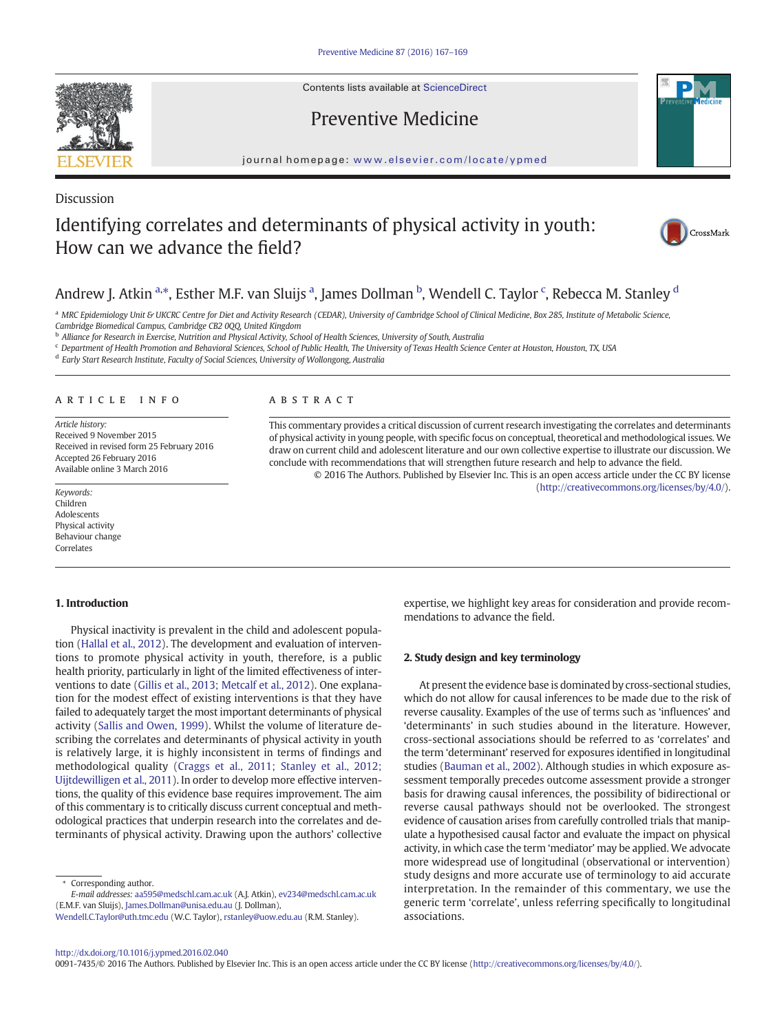Contents lists available at ScienceDirect

## Preventive Medicine

journal homepage: <www.elsevier.com/locate/ypmed>

# Identifying correlates and determinants of physical activity in youth: How can we advance the field?



### Andrew J. Atkin <sup>a,</sup>\*, Esther M.F. van Sluijs <sup>a</sup>, James Dollman <sup>b</sup>, Wendell C. Taylor <sup>c</sup>, Rebecca M. Stanley <sup>d</sup>

a MRC Epidemiology Unit & UKCRC Centre for Diet and Activity Research (CEDAR), University of Cambridge School of Clinical Medicine, Box 285, Institute of Metabolic Science, Cambridge Biomedical Campus, Cambridge CB2 0QQ, United Kingdom

<sup>b</sup> Alliance for Research in Exercise, Nutrition and Physical Activity, School of Health Sciences, University of South, Australia

<sup>c</sup> Department of Health Promotion and Behavioral Sciences, School of Public Health, The University of Texas Health Science Center at Houston, Houston, TX, USA

<sup>d</sup> Early Start Research Institute, Faculty of Social Sciences, University of Wollongong, Australia

#### article info abstract

Article history: Received 9 November 2015 Received in revised form 25 February 2016 Accepted 26 February 2016 Available online 3 March 2016

This commentary provides a critical discussion of current research investigating the correlates and determinants of physical activity in young people, with specific focus on conceptual, theoretical and methodological issues. We draw on current child and adolescent literature and our own collective expertise to illustrate our discussion. We conclude with recommendations that will strengthen future research and help to advance the field. © 2016 The Authors. Published by Elsevier Inc. This is an open access article under the CC BY license

(http://creativecommons.org/licenses/by/4.0/). Keywords:

#### 1. Introduction

Children Adolescents Physical activity Behaviour change Correlates

Physical inactivity is prevalent in the child and adolescent population [\(Hallal et al., 2012](#page-2-0)). The development and evaluation of interventions to promote physical activity in youth, therefore, is a public health priority, particularly in light of the limited effectiveness of interventions to date [\(Gillis et al., 2013; Metcalf et al., 2012](#page-2-0)). One explanation for the modest effect of existing interventions is that they have failed to adequately target the most important determinants of physical activity ([Sallis and Owen, 1999\)](#page-2-0). Whilst the volume of literature describing the correlates and determinants of physical activity in youth is relatively large, it is highly inconsistent in terms of findings and methodological quality ([Craggs et al., 2011; Stanley et al., 2012;](#page-2-0) [Uijtdewilligen et al., 2011](#page-2-0)). In order to develop more effective interventions, the quality of this evidence base requires improvement. The aim of this commentary is to critically discuss current conceptual and methodological practices that underpin research into the correlates and determinants of physical activity. Drawing upon the authors' collective

Corresponding author. E-mail addresses: aa595@medschl.cam.ac.uk (A.J. Atkin), ev234@medschl.cam.ac.uk (E.M.F. van Sluijs), James.Dollman@unisa.edu.au (J. Dollman),

Wendell.C.Taylor@uth.tmc.edu (W.C. Taylor), [rstanley@uow.edu.au](mailto:rstanley@uow.edu.au) (R.M. Stanley).

expertise, we highlight key areas for consideration and provide recommendations to advance the field.

#### 2. Study design and key terminology

At present the evidence base is dominated by cross-sectional studies, which do not allow for causal inferences to be made due to the risk of reverse causality. Examples of the use of terms such as 'influences' and 'determinants' in such studies abound in the literature. However, cross-sectional associations should be referred to as 'correlates' and the term 'determinant' reserved for exposures identified in longitudinal studies ([Bauman et al., 2002](#page-2-0)). Although studies in which exposure assessment temporally precedes outcome assessment provide a stronger basis for drawing causal inferences, the possibility of bidirectional or reverse causal pathways should not be overlooked. The strongest evidence of causation arises from carefully controlled trials that manipulate a hypothesised causal factor and evaluate the impact on physical activity, in which case the term 'mediator' may be applied. We advocate more widespread use of longitudinal (observational or intervention) study designs and more accurate use of terminology to aid accurate interpretation. In the remainder of this commentary, we use the generic term 'correlate', unless referring specifically to longitudinal associations.

<http://dx.doi.org/10.1016/j.ypmed.2016.02.040>

0091-7435/© 2016 The Authors. Published by Elsevier Inc. This is an open access article under the CC BY license (http://creativecommons.org/licenses/by/4.0/).



Discussion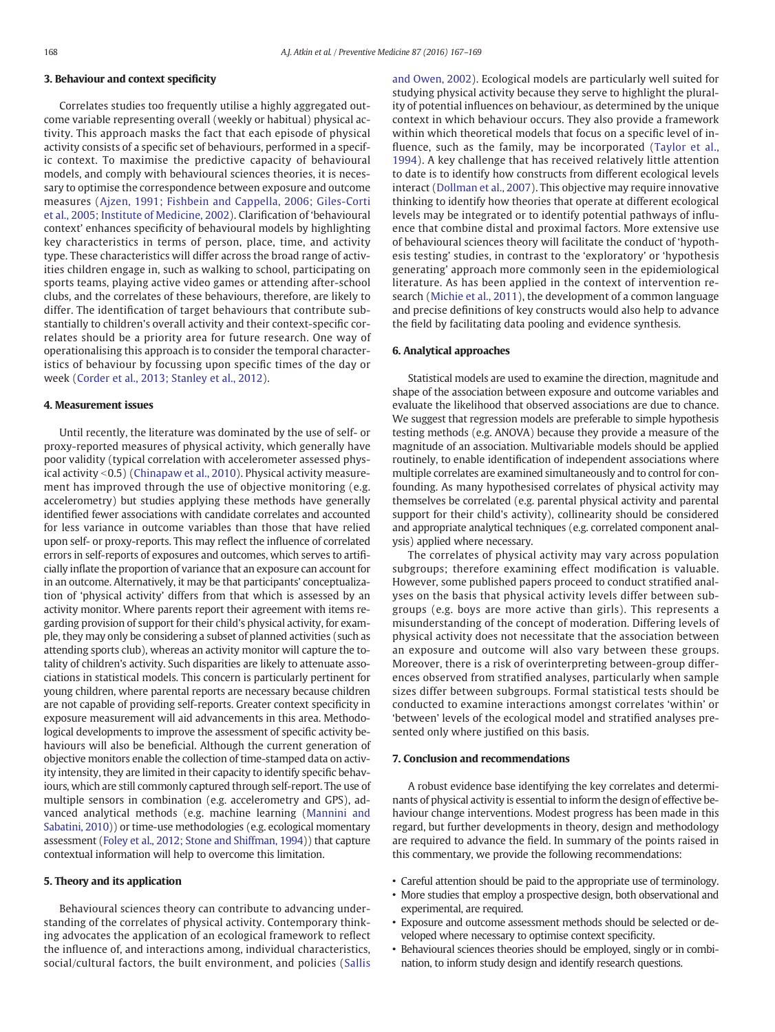### 3. Behaviour and context specificity

Correlates studies too frequently utilise a highly aggregated outcome variable representing overall (weekly or habitual) physical activity. This approach masks the fact that each episode of physical activity consists of a specific set of behaviours, performed in a specific context. To maximise the predictive capacity of behavioural models, and comply with behavioural sciences theories, it is necessary to optimise the correspondence between exposure and outcome measures ([Ajzen, 1991; Fishbein and Cappella, 2006; Giles-Corti](#page-2-0) [et al., 2005; Institute of Medicine, 2002](#page-2-0)). Clarification of 'behavioural context' enhances specificity of behavioural models by highlighting key characteristics in terms of person, place, time, and activity type. These characteristics will differ across the broad range of activities children engage in, such as walking to school, participating on sports teams, playing active video games or attending after-school clubs, and the correlates of these behaviours, therefore, are likely to differ. The identification of target behaviours that contribute substantially to children's overall activity and their context-specific correlates should be a priority area for future research. One way of operationalising this approach is to consider the temporal characteristics of behaviour by focussing upon specific times of the day or week [\(Corder et al., 2013; Stanley et al., 2012\)](#page-2-0).

#### 4. Measurement issues

Until recently, the literature was dominated by the use of self- or proxy-reported measures of physical activity, which generally have poor validity (typical correlation with accelerometer assessed phys-ical activity < 0.5) ([Chinapaw et al., 2010](#page-2-0)). Physical activity measurement has improved through the use of objective monitoring (e.g. accelerometry) but studies applying these methods have generally identified fewer associations with candidate correlates and accounted for less variance in outcome variables than those that have relied upon self- or proxy-reports. This may reflect the influence of correlated errors in self-reports of exposures and outcomes, which serves to artificially inflate the proportion of variance that an exposure can account for in an outcome. Alternatively, it may be that participants' conceptualization of 'physical activity' differs from that which is assessed by an activity monitor. Where parents report their agreement with items regarding provision of support for their child's physical activity, for example, they may only be considering a subset of planned activities (such as attending sports club), whereas an activity monitor will capture the totality of children's activity. Such disparities are likely to attenuate associations in statistical models. This concern is particularly pertinent for young children, where parental reports are necessary because children are not capable of providing self-reports. Greater context specificity in exposure measurement will aid advancements in this area. Methodological developments to improve the assessment of specific activity behaviours will also be beneficial. Although the current generation of objective monitors enable the collection of time-stamped data on activity intensity, they are limited in their capacity to identify specific behaviours, which are still commonly captured through self-report. The use of multiple sensors in combination (e.g. accelerometry and GPS), advanced analytical methods (e.g. machine learning ([Mannini and](#page-2-0) [Sabatini, 2010\)](#page-2-0)) or time-use methodologies (e.g. ecological momentary assessment [\(Foley et al., 2012; Stone and Shiffman, 1994](#page-2-0))) that capture contextual information will help to overcome this limitation.

#### 5. Theory and its application

Behavioural sciences theory can contribute to advancing understanding of the correlates of physical activity. Contemporary thinking advocates the application of an ecological framework to reflect the influence of, and interactions among, individual characteristics, social/cultural factors, the built environment, and policies ([Sallis](#page-2-0) [and Owen, 2002\)](#page-2-0). Ecological models are particularly well suited for studying physical activity because they serve to highlight the plurality of potential influences on behaviour, as determined by the unique context in which behaviour occurs. They also provide a framework within which theoretical models that focus on a specific level of influence, such as the family, may be incorporated ([Taylor et al.,](#page-2-0) [1994\)](#page-2-0). A key challenge that has received relatively little attention to date is to identify how constructs from different ecological levels interact ([Dollman et al., 2007](#page-2-0)). This objective may require innovative thinking to identify how theories that operate at different ecological levels may be integrated or to identify potential pathways of influence that combine distal and proximal factors. More extensive use of behavioural sciences theory will facilitate the conduct of 'hypothesis testing' studies, in contrast to the 'exploratory' or 'hypothesis generating' approach more commonly seen in the epidemiological literature. As has been applied in the context of intervention research [\(Michie et al., 2011](#page-2-0)), the development of a common language and precise definitions of key constructs would also help to advance the field by facilitating data pooling and evidence synthesis.

#### 6. Analytical approaches

Statistical models are used to examine the direction, magnitude and shape of the association between exposure and outcome variables and evaluate the likelihood that observed associations are due to chance. We suggest that regression models are preferable to simple hypothesis testing methods (e.g. ANOVA) because they provide a measure of the magnitude of an association. Multivariable models should be applied routinely, to enable identification of independent associations where multiple correlates are examined simultaneously and to control for confounding. As many hypothesised correlates of physical activity may themselves be correlated (e.g. parental physical activity and parental support for their child's activity), collinearity should be considered and appropriate analytical techniques (e.g. correlated component analysis) applied where necessary.

The correlates of physical activity may vary across population subgroups; therefore examining effect modification is valuable. However, some published papers proceed to conduct stratified analyses on the basis that physical activity levels differ between subgroups (e.g. boys are more active than girls). This represents a misunderstanding of the concept of moderation. Differing levels of physical activity does not necessitate that the association between an exposure and outcome will also vary between these groups. Moreover, there is a risk of overinterpreting between-group differences observed from stratified analyses, particularly when sample sizes differ between subgroups. Formal statistical tests should be conducted to examine interactions amongst correlates 'within' or 'between' levels of the ecological model and stratified analyses presented only where justified on this basis.

#### 7. Conclusion and recommendations

A robust evidence base identifying the key correlates and determinants of physical activity is essential to inform the design of effective behaviour change interventions. Modest progress has been made in this regard, but further developments in theory, design and methodology are required to advance the field. In summary of the points raised in this commentary, we provide the following recommendations:

- Careful attention should be paid to the appropriate use of terminology.
- More studies that employ a prospective design, both observational and experimental, are required.
- Exposure and outcome assessment methods should be selected or developed where necessary to optimise context specificity.
- Behavioural sciences theories should be employed, singly or in combination, to inform study design and identify research questions.